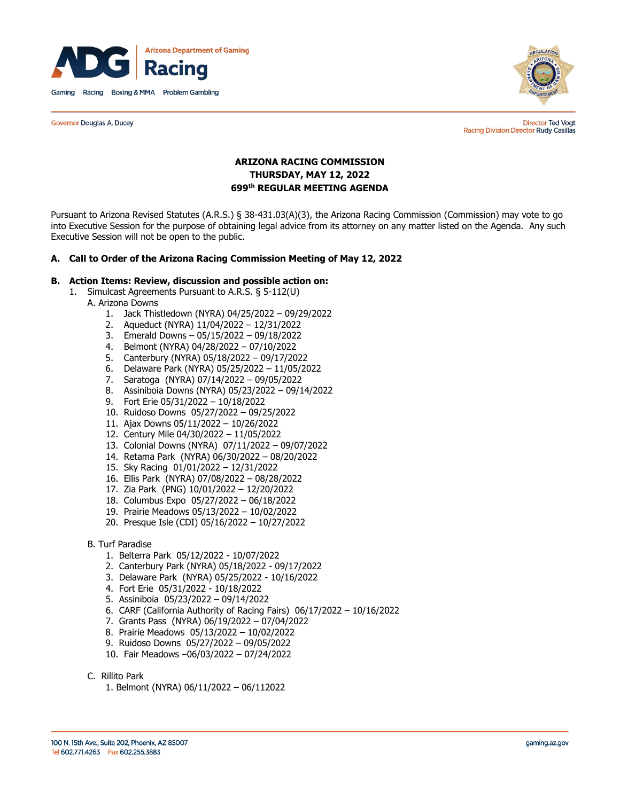

**Governor Douglas A. Ducey** 



**Director Ted Vogt** Racing Division Director Rudy Casillas

# **ARIZONA RACING COMMISSION THURSDAY, MAY 12, 2022 699th REGULAR MEETING AGENDA**

Pursuant to Arizona Revised Statutes (A.R.S.) § 38-431.03(A)(3), the Arizona Racing Commission (Commission) may vote to go into Executive Session for the purpose of obtaining legal advice from its attorney on any matter listed on the Agenda. Any such Executive Session will not be open to the public.

#### **A. Call to Order of the Arizona Racing Commission Meeting of May 12, 2022**

#### **B. Action Items: Review, discussion and possible action on:**

- 1. Simulcast Agreements Pursuant to A.R.S. § 5-112(U)
	- A. Arizona Downs
		- 1. Jack Thistledown (NYRA) 04/25/2022 09/29/2022
		- 2. Aqueduct (NYRA) 11/04/2022 12/31/2022
		- 3. Emerald Downs 05/15/2022 09/18/2022
		- 4. Belmont (NYRA) 04/28/2022 07/10/2022
		- 5. Canterbury (NYRA) 05/18/2022 09/17/2022
		- 6. Delaware Park (NYRA) 05/25/2022 11/05/2022
		- 7. Saratoga (NYRA) 07/14/2022 09/05/2022
		- 8. Assiniboia Downs (NYRA) 05/23/2022 09/14/2022
		- 9. Fort Erie 05/31/2022 10/18/2022
		- 10. Ruidoso Downs 05/27/2022 09/25/2022
		- 11. Ajax Downs 05/11/2022 10/26/2022
		- 12. Century Mile 04/30/2022 11/05/2022
		- 13. Colonial Downs (NYRA) 07/11/2022 09/07/2022
		- 14. Retama Park (NYRA) 06/30/2022 08/20/2022
		- 15. Sky Racing 01/01/2022 12/31/2022
		- 16. Ellis Park (NYRA) 07/08/2022 08/28/2022
		- 17. Zia Park (PNG) 10/01/2022 12/20/2022
		- 18. Columbus Expo 05/27/2022 06/18/2022
		- 19. Prairie Meadows 05/13/2022 10/02/2022
		- 20. Presque Isle (CDI) 05/16/2022 10/27/2022
	- B. Turf Paradise
		- 1. Belterra Park 05/12/2022 10/07/2022
		- 2. Canterbury Park (NYRA) 05/18/2022 09/17/2022
		- 3. Delaware Park (NYRA) 05/25/2022 10/16/2022
		- 4. Fort Erie 05/31/2022 10/18/2022
		- 5. Assiniboia 05/23/2022 09/14/2022
		- 6. CARF (California Authority of Racing Fairs) 06/17/2022 10/16/2022
		- 7. Grants Pass (NYRA) 06/19/2022 07/04/2022
		- 8. Prairie Meadows 05/13/2022 10/02/2022
		- 9. Ruidoso Downs 05/27/2022 09/05/2022
		- 10. Fair Meadows –06/03/2022 07/24/2022
	- C. Rillito Park
		- 1. Belmont (NYRA) 06/11/2022 06/112022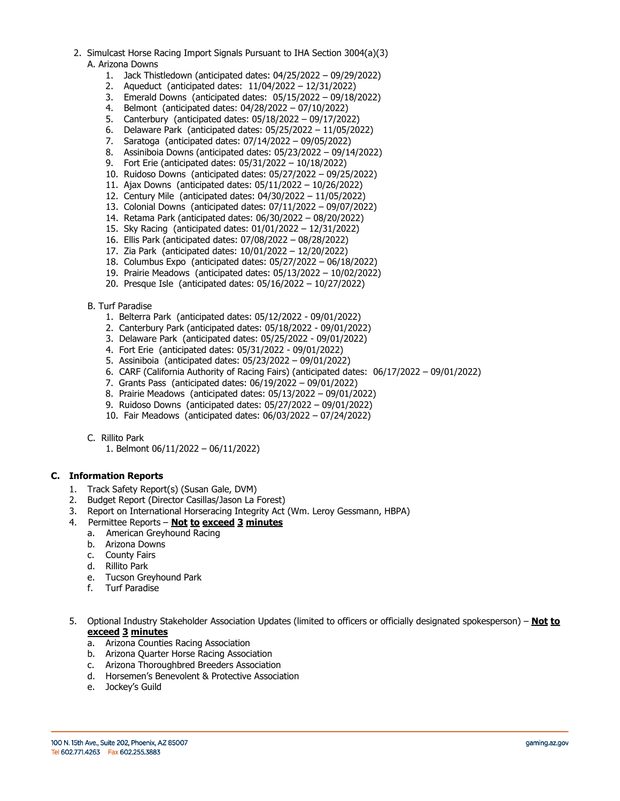- 2. Simulcast Horse Racing Import Signals Pursuant to IHA Section 3004(a)(3) A. Arizona Downs
	- 1. Jack Thistledown (anticipated dates: 04/25/2022 09/29/2022)
	- 2. Aqueduct (anticipated dates: 11/04/2022 12/31/2022)
	- 3. Emerald Downs (anticipated dates: 05/15/2022 09/18/2022)
	- 4. Belmont (anticipated dates: 04/28/2022 07/10/2022)
	- 5. Canterbury (anticipated dates: 05/18/2022 09/17/2022)
	- 6. Delaware Park (anticipated dates: 05/25/2022 11/05/2022)
	- 7. Saratoga (anticipated dates: 07/14/2022 09/05/2022)
	- 8. Assiniboia Downs (anticipated dates: 05/23/2022 09/14/2022)
	- 9. Fort Erie (anticipated dates: 05/31/2022 10/18/2022)
	- 10. Ruidoso Downs (anticipated dates: 05/27/2022 09/25/2022)
	- 11. Ajax Downs (anticipated dates: 05/11/2022 10/26/2022)
	- 12. Century Mile (anticipated dates: 04/30/2022 11/05/2022)
	- 13. Colonial Downs (anticipated dates: 07/11/2022 09/07/2022)
	- 14. Retama Park (anticipated dates: 06/30/2022 08/20/2022)
	- 15. Sky Racing (anticipated dates: 01/01/2022 12/31/2022)
	- 16. Ellis Park (anticipated dates: 07/08/2022 08/28/2022)
	- 17. Zia Park (anticipated dates: 10/01/2022 12/20/2022)
	- 18. Columbus Expo (anticipated dates: 05/27/2022 06/18/2022)
	- 19. Prairie Meadows (anticipated dates: 05/13/2022 10/02/2022)
	- 20. Presque Isle (anticipated dates: 05/16/2022 10/27/2022)

# B. Turf Paradise

- 1. Belterra Park (anticipated dates: 05/12/2022 09/01/2022)
- 2. Canterbury Park (anticipated dates: 05/18/2022 09/01/2022)
- 3. Delaware Park (anticipated dates: 05/25/2022 09/01/2022)
- 4. Fort Erie (anticipated dates: 05/31/2022 09/01/2022)
- 5. Assiniboia (anticipated dates: 05/23/2022 09/01/2022)
- 6. CARF (California Authority of Racing Fairs) (anticipated dates: 06/17/2022 09/01/2022)
- 7. Grants Pass (anticipated dates: 06/19/2022 09/01/2022)
- 8. Prairie Meadows (anticipated dates: 05/13/2022 09/01/2022)
- 9. Ruidoso Downs (anticipated dates: 05/27/2022 09/01/2022)
- 10. Fair Meadows (anticipated dates: 06/03/2022 07/24/2022)
- C. Rillito Park
	- 1. Belmont 06/11/2022 06/11/2022)

# **C. Information Reports**

- 1. Track Safety Report(s) (Susan Gale, DVM)
- 2. Budget Report (Director Casillas/Jason La Forest)
- 3. Report on International Horseracing Integrity Act (Wm. Leroy Gessmann, HBPA)
- 4. Permittee Reports **Not to exceed 3 minutes** 
	- a. American Greyhound Racing
	- b. Arizona Downs
- c. County Fairs
- d. Rillito Park
	- e. Tucson Greyhound Park
	- f. Turf Paradise
- 5. Optional Industry Stakeholder Association Updates (limited to officers or officially designated spokesperson) **Not to exceed 3 minutes**
	- a. Arizona Counties Racing Association
	- b. Arizona Quarter Horse Racing Association
	- c. Arizona Thoroughbred Breeders Association
	- d. Horsemen's Benevolent & Protective Association
	- e. Jockey's Guild